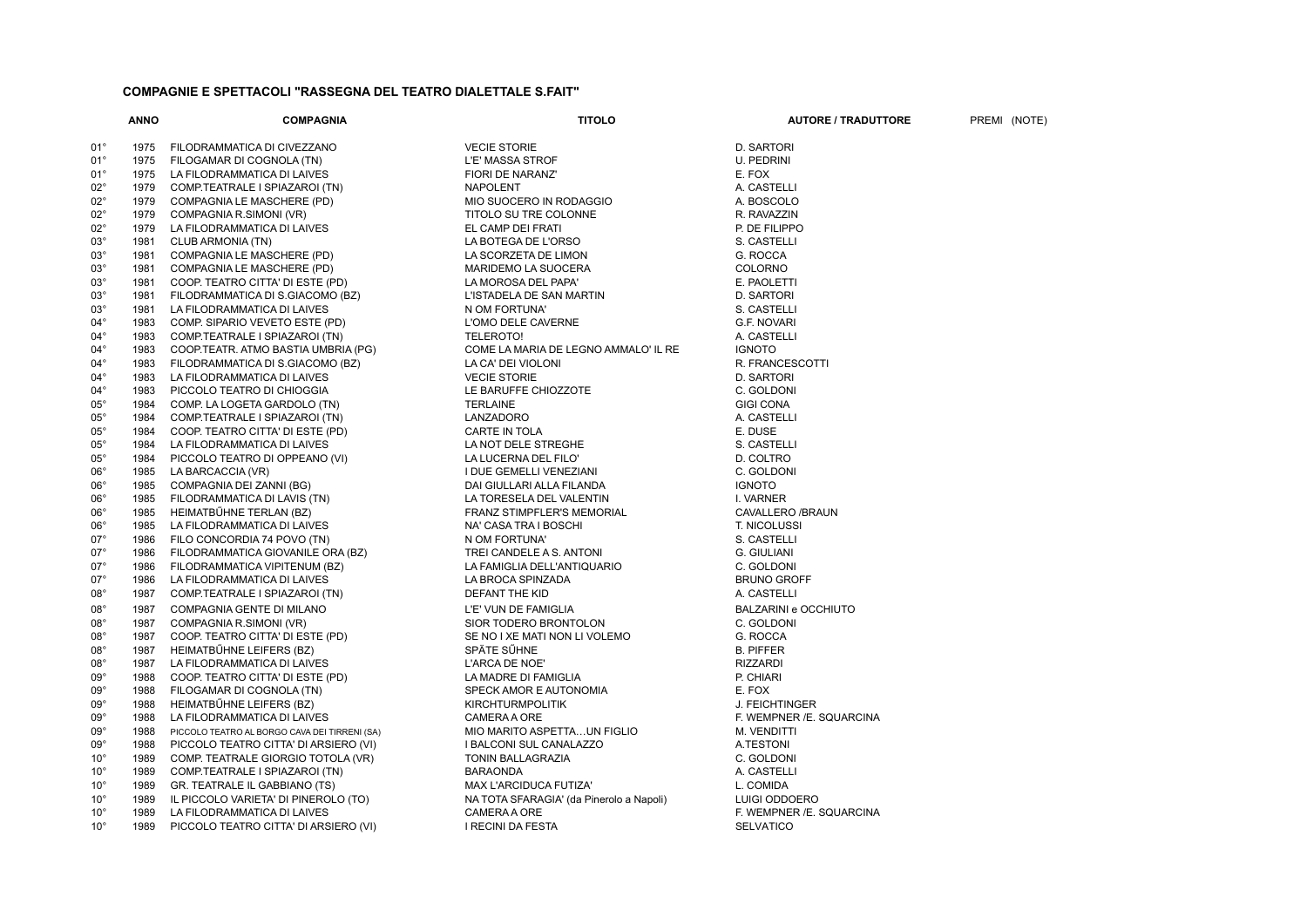## **COMPAGNIE E SPETTACOLI "RASSEGNA DEL TEATRO DIALETTALE S.FAIT"**

|                              | <b>ANNO</b>  | <b>COMPAGNIA</b>                                                     | <b>TITOLO</b>                            | <b>AUTORE / TRADUTTORE</b>  | PREMI (NOTE) |
|------------------------------|--------------|----------------------------------------------------------------------|------------------------------------------|-----------------------------|--------------|
| $01^{\circ}$                 | 1975         | FILODRAMMATICA DI CIVEZZANO                                          | <b>VECIE STORIE</b>                      | D. SARTORI                  |              |
| $01^{\circ}$                 | 1975         | FILOGAMAR DI COGNOLA (TN)                                            | L'E' MASSA STROF                         | U. PEDRINI                  |              |
| $01^{\circ}$                 | 1975         | LA FILODRAMMATICA DI LAIVES                                          | FIORI DE NARANZ'                         | E. FOX                      |              |
| $02^{\circ}$                 | 1979         | COMP.TEATRALE I SPIAZAROI (TN)                                       | <b>NAPOLENT</b>                          | A. CASTELLI                 |              |
| $02^{\circ}$                 |              |                                                                      |                                          |                             |              |
| $02^{\circ}$                 | 1979<br>1979 | COMPAGNIA LE MASCHERE (PD)                                           | MIO SUOCERO IN RODAGGIO                  | A. BOSCOLO                  |              |
|                              |              | COMPAGNIA R.SIMONI (VR)                                              | TITOLO SU TRE COLONNE                    | R. RAVAZZIN                 |              |
| $02^{\circ}$                 | 1979         | LA FILODRAMMATICA DI LAIVES                                          | EL CAMP DEI FRATI                        | P. DE FILIPPO               |              |
| $03^{\circ}$                 | 1981         | CLUB ARMONIA (TN)                                                    | LA BOTEGA DE L'ORSO                      | S. CASTELLI                 |              |
| $03^{\circ}$                 | 1981         | COMPAGNIA LE MASCHERE (PD)                                           | LA SCORZETA DE LIMON                     | G. ROCCA                    |              |
| $03^{\circ}$                 | 1981         | COMPAGNIA LE MASCHERE (PD)                                           | <b>MARIDEMO LA SUOCERA</b>               | <b>COLORNO</b>              |              |
| $03^{\circ}$                 | 1981         | COOP. TEATRO CITTA' DI ESTE (PD)                                     | LA MOROSA DEL PAPA'                      | E. PAOLETTI                 |              |
| $03^{\circ}$                 | 1981         | FILODRAMMATICA DI S.GIACOMO (BZ)                                     | L'ISTADELA DE SAN MARTIN                 | D. SARTORI                  |              |
| $03^{\circ}$                 | 1981         | LA FILODRAMMATICA DI LAIVES                                          | N OM FORTUNA'                            | S. CASTELLI                 |              |
| $04^{\circ}$                 | 1983         | COMP. SIPARIO VEVETO ESTE (PD)                                       | L'OMO DELE CAVERNE                       | <b>G.F. NOVARI</b>          |              |
| $04^{\circ}$                 | 1983         | COMP.TEATRALE I SPIAZAROI (TN)                                       | <b>TELEROTO!</b>                         | A. CASTELLI                 |              |
| $04^{\circ}$                 | 1983         | COOP.TEATR. ATMO BASTIA UMBRIA (PG)                                  | COME LA MARIA DE LEGNO AMMALO' IL RE     | <b>IGNOTO</b>               |              |
| $04^{\circ}$                 | 1983         | FILODRAMMATICA DI S.GIACOMO (BZ)                                     | LA CA' DEI VIOLONI                       | R. FRANCESCOTTI             |              |
| $04^{\circ}$                 | 1983         | LA FILODRAMMATICA DI LAIVES                                          | <b>VECIE STORIE</b>                      | D. SARTORI                  |              |
| $04^{\circ}$                 | 1983         | PICCOLO TEATRO DI CHIOGGIA                                           | LE BARUFFE CHIOZZOTE                     | C. GOLDONI                  |              |
| $05^{\circ}$                 | 1984         | COMP. LA LOGETA GARDOLO (TN)                                         | <b>TERLAINE</b>                          | <b>GIGI CONA</b>            |              |
| $05^{\circ}$                 | 1984         | COMP.TEATRALE I SPIAZAROI (TN)                                       | LANZADORO                                | A. CASTELLI                 |              |
| $05^{\circ}$                 | 1984         | COOP. TEATRO CITTA' DI ESTE (PD)                                     | CARTE IN TOLA                            | E. DUSE                     |              |
| $05^{\circ}$                 | 1984         | LA FILODRAMMATICA DI LAIVES                                          | LA NOT DELE STREGHE                      | S. CASTELLI                 |              |
| $05^{\circ}$                 | 1984         | PICCOLO TEATRO DI OPPEANO (VI)                                       | LA LUCERNA DEL FILO'                     | D. COLTRO                   |              |
| $06^{\circ}$                 | 1985         | LA BARCACCIA (VR)                                                    | I DUE GEMELLI VENEZIANI                  | C. GOLDONI                  |              |
| $06^{\circ}$                 | 1985         | COMPAGNIA DEI ZANNI (BG)                                             | DAI GIULLARI ALLA FILANDA                | <b>IGNOTO</b>               |              |
| $06^{\circ}$                 | 1985         | FILODRAMMATICA DI LAVIS (TN)                                         | LA TORESELA DEL VALENTIN                 | I. VARNER                   |              |
| $06^{\circ}$                 | 1985         | HEIMATBÜHNE TERLAN (BZ)                                              | <b>FRANZ STIMPFLER'S MEMORIAL</b>        | CAVALLERO /BRAUN            |              |
| $06^{\circ}$                 | 1985         | LA FILODRAMMATICA DI LAIVES                                          | NA' CASA TRA I BOSCHI                    | T. NICOLUSSI                |              |
| $07^{\circ}$                 | 1986         | FILO CONCORDIA 74 POVO (TN)                                          | N OM FORTUNA'                            | S. CASTELLI                 |              |
| $07^{\circ}$                 | 1986         | FILODRAMMATICA GIOVANILE ORA (BZ)                                    | TREI CANDELE A S. ANTONI                 | G. GIULIANI                 |              |
| $07^{\circ}$                 | 1986         | FILODRAMMATICA VIPITENUM (BZ)                                        | LA FAMIGLIA DELL'ANTIQUARIO              | C. GOLDONI                  |              |
| $07^\circ$                   | 1986         | LA FILODRAMMATICA DI LAIVES                                          | LA BROCA SPINZADA                        | <b>BRUNO GROFF</b>          |              |
| $08^{\circ}$                 | 1987         | COMP.TEATRALE I SPIAZAROI (TN)                                       | DEFANT THE KID                           | A. CASTELLI                 |              |
| $08^{\circ}$                 | 1987         | COMPAGNIA GENTE DI MILANO                                            | L'E' VUN DE FAMIGLIA                     | <b>BALZARINI e OCCHIUTO</b> |              |
| $08^{\circ}$                 | 1987         | COMPAGNIA R.SIMONI (VR)                                              | SIOR TODERO BRONTOLON                    | C. GOLDONI                  |              |
| $08^\circ$                   | 1987         | COOP. TEATRO CITTA' DI ESTE (PD)                                     | SE NO I XE MATI NON LI VOLEMO            | G. ROCCA                    |              |
| $08^\circ$                   | 1987         | HEIMATBŰHNE LEIFERS (BZ)                                             | SPÄTE SŰHNE                              | <b>B. PIFFER</b>            |              |
| $08^\circ$                   | 1987         | LA FILODRAMMATICA DI LAIVES                                          | L'ARCA DE NOE'                           | <b>RIZZARDI</b>             |              |
| $09^{\circ}$                 | 1988         | COOP. TEATRO CITTA' DI ESTE (PD)                                     | LA MADRE DI FAMIGLIA                     | P. CHIARI                   |              |
| $09^{\circ}$                 | 1988         | FILOGAMAR DI COGNOLA (TN)                                            | SPECK AMOR E AUTONOMIA                   | E. FOX                      |              |
| $09^{\circ}$                 | 1988         | HEIMATBŰHNE LEIFERS (BZ)                                             | <b>KIRCHTURMPOLITIK</b>                  | J. FEICHTINGER              |              |
| $09^{\circ}$                 | 1988         | LA FILODRAMMATICA DI LAIVES                                          | <b>CAMERA A ORE</b>                      | F. WEMPNER /E. SQUARCINA    |              |
| $09^{\circ}$                 | 1988         | PICCOLO TEATRO AL BORGO CAVA DEI TIRRENI (SA)                        | MIO MARITO ASPETTAUN FIGLIO              | M. VENDITTI                 |              |
| $09^{\circ}$                 | 1988         | PICCOLO TEATRO CITTA' DI ARSIERO (VI)                                | I BALCONI SUL CANALAZZO                  | A.TESTONI                   |              |
|                              |              |                                                                      |                                          |                             |              |
| $10^{\circ}$<br>$10^{\circ}$ | 1989<br>1989 | COMP. TEATRALE GIORGIO TOTOLA (VR)<br>COMP.TEATRALE I SPIAZAROI (TN) | TONIN BALLAGRAZIA<br><b>BARAONDA</b>     | C. GOLDONI                  |              |
| $10^{\circ}$                 | 1989         |                                                                      |                                          | A. CASTELLI                 |              |
|                              |              | GR. TEATRALE IL GABBIANO (TS)                                        | MAX L'ARCIDUCA FUTIZA'                   | L. COMIDA                   |              |
| $10^{\circ}$                 | 1989         | IL PICCOLO VARIETA' DI PINEROLO (TO)                                 | NA TOTA SFARAGIA' (da Pinerolo a Napoli) | LUIGI ODDOERO               |              |
| $10^{\circ}$<br>$10^{\circ}$ | 1989<br>1989 | LA FILODRAMMATICA DI LAIVES                                          | CAMERA A ORE                             | F. WEMPNER /E. SQUARCINA    |              |
|                              |              | PICCOLO TEATRO CITTA' DI ARSIERO (VI)                                | I RECINI DA FESTA                        | <b>SELVATICO</b>            |              |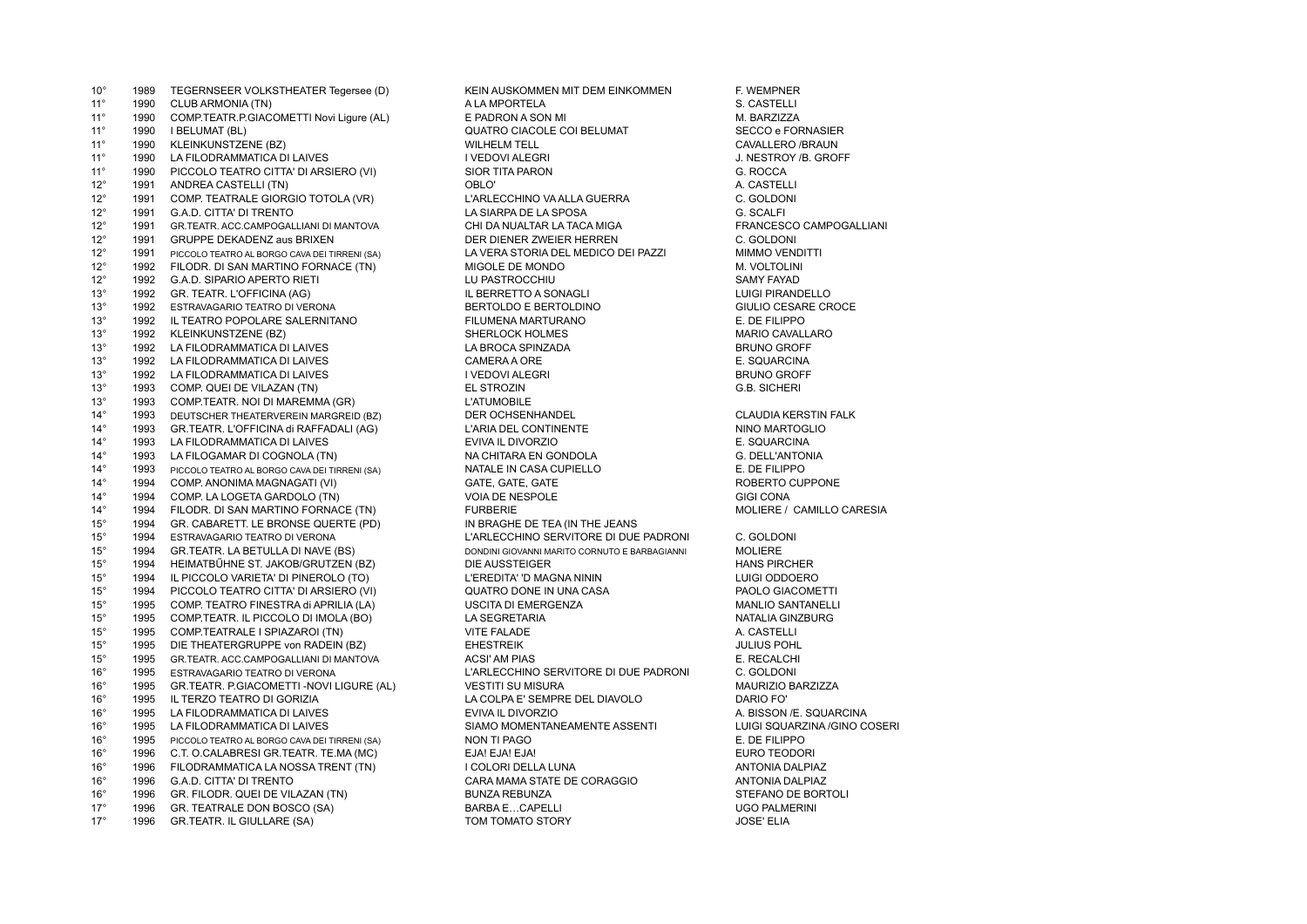10° 1989 TEGERNSEER VOLKSTHEATER Tegersee (D) KEIN AUSKOMMEN MIT DEM EINKOMMEN F. WEMPNER<br>11° 1990 CLUB ARMONIA (TN) A LA MPORTELA 11° 1990 CLUB ARMONIA (TN) A LA MPORTELA 11° 1990 COMP.TEATR.P.GIACOMETTI Novi Ligure (AL) E PADRON A SON MI PROTONE TO M. BARZIZZA<br>11° 1990 I BELUMAT (BL) 10° CUATRO CIACOLE COI BELUMAT SECCO e FORNASIER 1990 I BELUMAT (BL) **The CONSTRUCT OF CONSTRUCT AND SECULE COI BELUMAT** 11° 1990 KLEINKUNSTZENE (BZ) WILHELM TELL CAVALLERO /BRAUN 11° 1990 LA FILODRAMMATICA DI LAIVES I VEDOVI ALEGRI J. NESTROY /B. GROFF 1990 PICCOLO TEATRO CITTA' DI ARSIERO (VI) SIOR TITA PARON SIOR TO ANNO 1990 PICCOLO TEATRO CITTA' DI ARSIERO (VI) 12° 1991 ANDREA CASTELLI (TN) OBLO' A. CASTELLI 12° 1991 COMP. TEATRALE GIORGIO TOTOLA (VR) L'ARLECCHINO VA ALLA GUERRA C. GOLDONI 1991 G.A.D. CITTA' DI TRENTO 12° 1991 GR.TEATR. ACC.CAMPOGALLIANI DI MANTOVA CHI DA NUALTAR LA TACA MIGA FRANCESCO CAMPOGALLIANI 12° 1991 GRUPPE DEKADENZ aus BRIXEN DER DIENER ZWEIER HERREN C. GOLDONI 12° 1991 PICCOLO TEATRO AL BORGO CAVA DEI TIRRENI (SA) LA VERA STORIA DEL MEDICO DEI PAZZI MIMMO VENDITTI 12° 1992 FILODR. DI SAN MARTINO FORNACE (TN) MIGOLE DE MONDO **MIGOLE DE MONDO** M. VOLTOLINI 12° 1992 G.A.D. SIPARIO APERTO RIETI LU PASTROCCHIU SAMY FAYAD 13° 1992 GR. TEATR. L'OFFICINA (AG) IL BERRETTO A SONAGLI LUIGI PIRANDELLO 13° 1992 ESTRAVAGARIO TEATRO DI VERONA BERTOLDO E BERTOLDINO GIULIO CESARE CROCE 13° 1992 IL TEATRO POPOLARE SALERNITANO FILUMENA MARTURANO FILOMENA MARTURANO FILOPOLARE SALERNITANO 13° 1992 KLEINKUNSTZENE (BZ) SHERLOCK HOLMES MARIO CAVALLARO 1992 LA FILODRAMMATICA DI LAIVES LA BROCA SPINZADA LA BROCA SPINZADA LA BROTA DE BRUNO GROFF<br>1992 LA FILODRAMMATICA DI LAIVES LA BROCA DE CAMERA A ORFINALE DE SOLA SPINZADA LA BROCA DE SOLIARCINA 13° 1992 LA FILODRAMMATICA DI LAIVES CAMERA A ORE E. SQUARCINA 13° 1992 LA FILODRAMMATICA DI LAIVES<br>13° 1993 COMP. QUEI DE VILAZAN (TN) 13° 1993 COMP. QUEI DE VILAZAN (TN) EL STROZIN G.B. SICHERI 13° 1993 COMP.TEATR. NOI DI MAREMMA (GR) L'ATUMOBILE 14° 1993 DEUTSCHER THEATERVEREIN MARGREID (BZ) DER OCHSENHANDEL DER SOLLE DER OCHSENHANDEL SOLLE DE SOLLE DER MARGREID (BZU) DER OCHSENHANDEL SOLLE DER SOLLE DER SOLLE DER SOLLE DER SOLLE DER SOLLE DER SOLLE DER SOLLE DER 1993 GR.TEATR. L'OFFICINA di RAFFADALI (AG) 14° 1993 LA FILODRAMMATICA DI LAIVES EVIVA IL DIVORZIO E. SQUARCINA 14° 1993 LA FILOGAMAR DI COGNOLA (TN) NA CHITARA EN GONDOLA COMBOLA G. DELL'ANTONIA<br>14° 1993 PICCOLO TEATRO AL BORGO CAVA DEI TIRRENI (SA) NATALE IN CASA CUPIELLO COMBOLA E. DE FILIPPO 1993 PICCOLO TEATRO AL BORGO CAVA DEI TIRRENI (SA) 14° 1994 COMP. ANONIMA MAGNAGATI (VI) CATE, GATE GATE GATE GATE GATE GATE ROBERTO CUPPONE 14° 1994 COMP. LA LOGETA GARDOLO (TN) VOIA DE NESPOLE GIGI CONA 14° 1994 FILODR. DI SAN MARTINO FORNACE (TN) FURBERIE FORMENTE DE TEA (IN THE JEANS FOR ANNILLO CARESIA 15° 1994 GR. CABARETT. LE BRONSE QUERTE (PD) 15° 1994 GR. CABARETT. LE BRONSE QUERTE (PD) IN BRAGHE DE TEA (IN THE JEANS 15° 1994 ESTRAVAGARIO TEATRO DI VERONA L'ARLECCHINO SERVITORE DI DUE PADRONI C. GOLDONI 1994 GR.TEATR. LA BETULLA DI NAVE (BS) DONDINI GIOVANNI MARITO CORNUTO E BARBAGIANNI MOLIERE 15° 1994 HEIMATBŰHNE ST. JAKOB/GRUTZEN (BZ) DIE AUSSTEIGER HANS PIRCHER 15° 1994 IL PICCOLO VARIETA' DI PINEROLO (TO) L'EREDITA' 'D MAGNA NININ 15° 1994 PICCOLO TEATRO CITTA' DI ARSIERO (VI) 15° 1994 PICCOLO TEATRO CITTA' DI ARSIERO (VI) QUATRO DONE IN UNA CASA PAOLO GIACOMETTI PROLO GIACOMETTI ANNO <br>15° 1995 COMP. TEATRO FINESTRA di APRILIA (LA) USCITA DI EMERGENZA PARTENTELLE MANLIO SANTANELL 15° 1995 COMP. TEATRO FINESTRA di APRILIA (LA) USCITA DI EMERGENZA MANLIO SANTANELLI 15° 1995 COMP.TEATR. IL PICCOLO DI IMOLA (BO) LA SEGRETARIA NATALIA GINZBURG 15° 1995 COMP.TEATRALE I SPIAZAROI (TN) VITE FALADE A. CASTELLI 1995 DIE THEATERGRUPPE von RADEIN (BZ) 15° 1995 GR.TEATR. ACC.CAMPOGALLIANI DI MANTOVA ACSI' AM PIAS E. RECALCHI 16° 1995 ESTRAVAGARIO TEATRO DI VERONA L'ARLECCHINO SERVITORE DI DUE PADRONI C. GOLDONI 16° 1995 GR.TEATR. P.GIACOMETTI -NOVI LIGURE (AL) VESTITI SU MISURA MAURIZIO BARZIZZA 16° 1995 IL TERZO TEATRO DI GORIZIA LA COLPA E' SEMPRE DEL DIAVOLO DARIO FO' 16° 1995 LA FILODRAMMATICA DI LAIVES EVIVA IL DIVORZIO A. BISSON /E. SQUARCINA 16° 1995 LA FILODRAMMATICA DI LAIVES SIAMO MOMENTANEAMENTE ASSENTI LUIGI SQUARZINA /GINO COSERI 16<sup>°</sup> 1995 PICCOLO TEATRO AL BORGO CAVA DEI TIRRENI (SA) NON TI PAGO NON TI POSTO AL SERVENTE DE FILIPPO 16° 1996 C.T. O.CALABRESI GR.TEATR. TE.MA (MC) EJA! EJA! EJA! EURO TEODORI 16° 1996 FILODRAMMATICA LA NOSSA TRENT (TN) I COLORI DELLA LUNA ANTONIA DALPIAZ 16° 1996 G.A.D. CITTA' DI TRENTO CARA MAMA STATE DE CORAGGIO ANTONIA DALPIAZ 16° 1996 GR. FILODR. QUEI DE VILAZAN (TN) BUNZA REBUNZA REBUNZA STEFANO DE BORTOLI 17° 1996 GR. TEATRALE DON BOSCO (SA) BARBA E…CAPELLI UGO PALMERINI 17° 1996 GR.TEATR. IL GIULLARE (SA) TOM TOMATO STORY JOSE' ELIA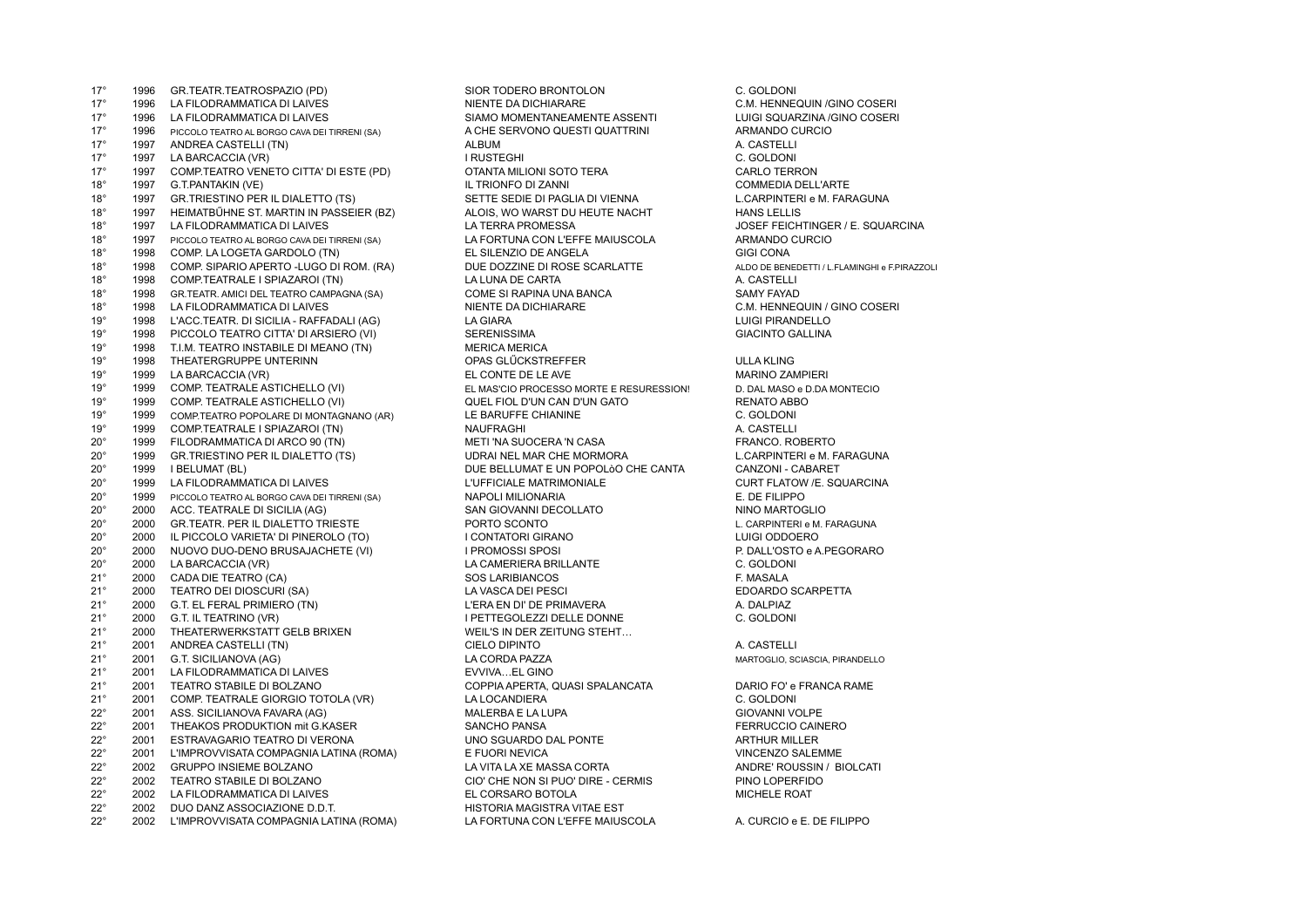17° 1996 GR.TEATR.TEATROSPAZIO (PD) SIOR TODERO BRONTOLON 1996 G. GOLDONING TO HANGIST C. GOLDONING TO SANTIFI<br>17° 1996 LA FILODRAMMATICA DI LAIVES NEWSLAME DA DICHIARARE AND TO SANTIFICAL C.M. HENNE 17° 1996 LA FILODRAMMATICA DI LAIVES NIENTE DA DICHIARARE C.M. HENNEQUIN /GINO COSERI 17° 1996 LA FILODRAMMATICA DI LAIVES SIAMO MOMENTANEAMENTE ASSENTI LUIGI SQUARZINA /GINO COSERI 1996 PICCOLO TEATRO AL BORGO CAVA DEI TIRRENI (SA) 17° 1997 ANDREA CASTELLI (TN) ANDREA CASTELLI (TN) ANDREA CASTELLI (TN) ANDREA CASTELLI (TN) A. CASTELLI (TN) 17° 1997 LA BARCACCIA (VR) I RUSTEGHI C. GOLDONI<br>17° 1997 COMP.TEATRO VENETO CITTA' DI ESTE (PD) OTANTA MILIONI SOTO TERA 17° 1997 COMP.TEATRO VENETO CITTA' DI ESTE (PD) OTANTA MILIONI SOTO TERA CARLO TERRON 18° 1997 G.T.PANTAKIN (VE) IL TRIONFO DI ZANNI IL TRIONFO DI ZANNI COMMEDIA DELL'ARTE 18° 1997 GR.TRIESTINO PER IL DIALETTO (TS) SETTE SEDIE DI PAGLIA DI VIENNA LOCARPINTERI e M. FARAGUNA 18° 1997 HEIMATBÜHNE ST. MARTIN IN PASSEIER (BZ) ALOIS, WO WARST DU HEUTE NACHT HANS LELLIS 18° 1997 LA FILODRAMMATICA DI LAIVES LA TERRA PROMESSA JOSEF FEICHTINGER / E. SQUARCINA 18° 1997 PICCOLO TEATRO AL BORGO CAVA DEI TIRRENI (SA) LA FORTUNA CON L'EFFE MAIUSCOLA ARMANDO CURCIO 18° 1998 COMP. LA LOGETA GARDOLO (TN) EL SILENZIO DE ANGELA GIGI CONA 18° 1998 COMP. SIPARIO APERTO -LUGO DI ROM. (RA) DUE DOZZINE DI ROSE SCARLATTE ALDO DE BENEDETTI / L.FLAMINGHI e F.PIRAZZOLI 18° 1998 COMP.TEATRALE I SPIAZAROI (TN) LA LUNA DE CARTA A. CASTELLI 18° 1998 GR.TEATR. AMICI DEL TEATRO CAMPAGNA (SA) COME SI RAPINA UNA BANCA COME SI RAPINA UNA BANCA SAMY FAYAD<br>18° 1998 LA FILODRAMMATICA DI LAIVES COME SI DI SINENTE DA DICHIARARE COME SI C.M. HENNEC 18° 1998 LA FILODRAMMATICA DI LAIVES NIENTE DA DICHIARARE C.M. HENNEQUIN / GINO COSERI 19° 1998 L'ACC.TEATR. DI SICILIA - RAFFADALI (AG) LA GIARA LUIGI PIRANDELLO 19° 1998 PICCOLO TEATRO CITTA' DI ARSIERO (VI) SERENISSIMA GIACINTO GALLINA<br>19° 1998 T.I.M. TEATRO INSTABILE DI MEANO (TN) MERICA MERICA 1998 T.I.M. TEATRO INSTABILE DI MEANO (TN) MERICA MERICA MERICA MERICA MERICA MERICA MERICA MERICA MERICA MERI<br>1998 THEATERGRUPPE UNTERINN 19° 1998 THEATERGRUPPE UNTERINN OPAS GLŰCKSTREFFER ULLA KLING 1999 LA BARCACCIA (VR) THE RESERVEMENT OF LE AVE DE LE AVE MARINO ZAMPIERING ZAMPIERING ZAMPIERING ANGELE AVE 19° 1999 COMP. TEATRALE ASTICHELLO (VI) EL MAS'CIO PROCESSO MORTE E RESURESSION! D. DAL MASO e D.DA MONTECIO 19° 1999 COMP. TEATRALE ASTICHELLO (VI) QUEL FIOL D'UN CAN D'UN GATO RENATO ABBO 19° 1999 COMP.TEATRO POPOLARE DI MONTAGNANO (AR) LE BARUFFE CHIANINE 1999 COMP.TEATRALE I SPIAZAROI (TN) NAUFRAGHI 1999 COMP.TEATRALE I SPIAZAROI (TN) NAUFRAGHI 20° 1999 FILODRAMMATICA DI ARCO 90 (TN) METI 'NA SUOCERA 'N CASA FRANCO. ROBERTO 20° 1999 GR.TRIESTINO PER IL DIALETTO (TS) UDRAI NEL MAR CHE MORMORA L.CARPINTERI e M. FARAGUNA 20° 1999 LA FILODRAMMATICA DI LAIVES LA REGISSE L'UFFICIALE MATRIMONIALE LA CURT FLATOW /E. SOUARCINA 20° 1999 PICCOLO TEATRO AL BORGO CAVA DEI TIRRENI (SA) NAPOLI MILIONARIA E. DE FILIPPO 20° 2000 ACC. TEATRALE DI SICILIA (AG) SAN GIOVANNI DECOLLATO NINO MARTOGLIO 20° 2000 GR.TEATR. PER IL DIALETTO TRIESTE CONTO PORTO SCONTO CONTO L. CARPINTERI e M. FARAGUNA 20° 2000 IL PICCOLO VARIETA' DI PINEROLO (TO) IL CONTATORI GIRANO IN INTERNATORI ODDOERO LUIGI ODDOERO LUIGI ODDOERO<br>20° 2000 NUOVO DUO-DENO BRUSAJACHETE (VI) IPROMOSSI SPOSI INTERNATORI OD POALL'OSTO e A PEGORARO NUOVO DUO-DENO BRUSAJACHETE (VI) I PROMOSSI SPOSI 20° 2000 LA BARCACCIA (VR) LA CAMERIERA BRILLANTE C. GOLDONI<br>21° 2000 CADA DIE TEATRO (CA) SOS LARIBIANCOS F. MASALA 21° 2000 CADA DIE TEATRO (CA) SOS LARIBIANCOS F. MASALA 21° 2000 TEATRO DEI DIOSCURI (SA) LA VASCA DEI PESCI EDOARDO SCARPETTA 21° 2000 G.T. EL FERAL PRIMIERO (TN) CLERA EN DI' DE PRIMAVERA ANNO 1999 A. DALPIAZ 21° 2000 G.T. IL TEATRINO (VR) I PETTEGOLEZZI DELLE DONNE C. GOLDONI 21° 2000 THEATERWERKSTATT GELB BRIXEN WEIL'S IN DER ZEITUNG STEHT...<br>21° 2001 ANDREA CASTELLI (TN) CIELO DIPINTO 21° 2001 ANDREA CASTELLI (TN) CIELO DIPINTO A. CASTELLI 21° 2001 G.T. SICILIANOVA (AG) LA CORDA PAZZA MARTOGLIO, SCIASCIA, PIRANDELLO 21° 2001 LA FILODRAMMATICA DI LAIVES EVVIVA…EL GINO 21° 2001 TEATRO STABILE DI BOLZANO COPPIA APERTA, QUASI SPALANCATA DARIO FO' e FRANCA RAME 21° 2001 COMP. TEATRALE GIORGIO TOTOLA (VR) LA LOCANDIERA C. GOLDONI 22° 2001 ASS. SICILIANOVA FAVARA (AG) MALERBA E LA LUPA GIOVANNI VOLPE 2001 THEAKOS PRODUKTION mit G.KASER SANCHO PANSA SANCHO PANSA FERRUCCIO CAINERO 22° 2001 ESTRAVAGARIO TEATRO DI VERONA UNO SGUARDO DAL PONTE ARTHUR MILLER 22° 2001 L'IMPROVVISATA COMPAGNIA LATINA (ROMA) E FUORI NEVICA VINCENZO SALEMME 22° 2002 GRUPPO INSIEME BOLZANO LA VITA LA XE MASSA CORTA ANDRE' ROUSSIN / BIOLCATI 22° 2002 TEATRO STABILE DI BOLZANO CONSIDENTI CON CHE NON SI PUO' DIRE - CERMIS PINO LOPERFIDO 22° 2002 LA FILODRAMMATICA DI LAIVES 22° 2002 LA FILODRAMMATICA DI LAIVES EL CORSARO BOTOLA MICHELE ROAT 22° 2002 DUO DANZ ASSOCIAZIONE D.D.T. HISTORIA MAGISTRA VITAE EST 22° 2002 L'IMPROVVISATA COMPAGNIA LATINA (ROMA) LA FORTUNA CON L'EFFE MAIUSCOLA A. CURCIO e E. DE FILIPPO

DUE BELLUMAT E UN POPOLÒO CHE CANTA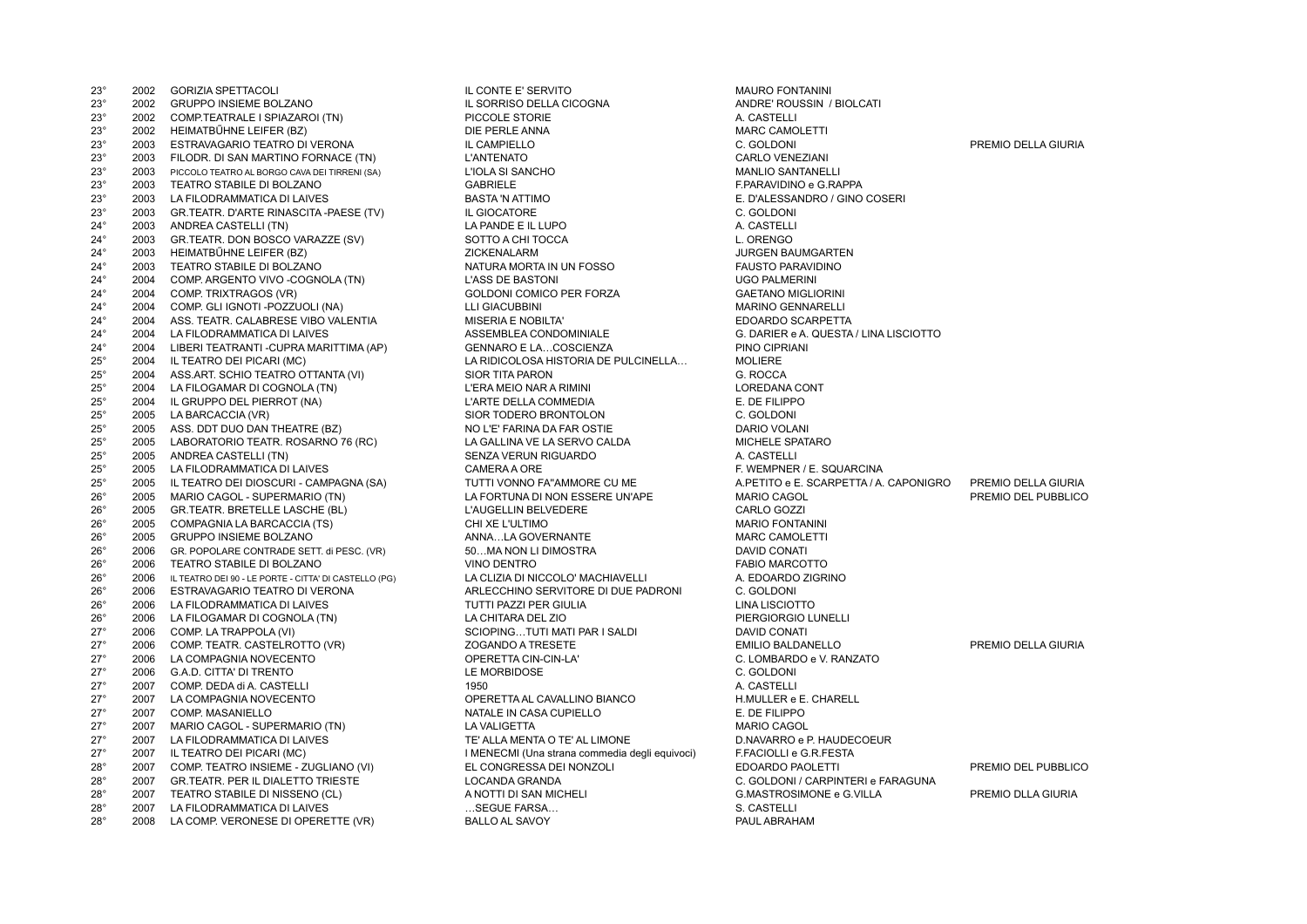| 23°                        | 2002         | <b>GORIZIA SPETTACOLI</b>                                                              | IL CONTE E' SERVITO                                 | <b>MAURO FONTANINI</b>  |
|----------------------------|--------------|----------------------------------------------------------------------------------------|-----------------------------------------------------|-------------------------|
| $23^{\circ}$               | 2002         | GRUPPO INSIEME BOLZANO                                                                 | IL SORRISO DELLA CICOGNA                            | ANDRE' ROUSSIN /        |
| $23^{\circ}$               | 2002         | COMP.TEATRALE I SPIAZAROI (TN)                                                         | PICCOLE STORIE                                      | A. CASTELLI             |
| $23^{\circ}$               | 2002         | HEIMATBŰHNE LEIFER (BZ)                                                                | DIE PERLE ANNA                                      | <b>MARC CAMOLETTI</b>   |
| $23^{\circ}$               | 2003         | ESTRAVAGARIO TEATRO DI VERONA                                                          | IL CAMPIELLO                                        | C. GOLDONI              |
| $23^{\circ}$               | 2003         | FILODR. DI SAN MARTINO FORNACE (TN)                                                    | <b>L'ANTENATO</b>                                   | CARLO VENEZIANI         |
| $23^{\circ}$               | 2003         | PICCOLO TEATRO AL BORGO CAVA DEI TIRRENI (SA)                                          | L'IOLA SI SANCHO                                    | <b>MANLIO SANTANELI</b> |
| $23^\circ$                 | 2003         | TEATRO STABILE DI BOLZANO                                                              | <b>GABRIELE</b>                                     | F.PARAVIDINO e G.R      |
| $23^{\circ}$               | 2003         | LA FILODRAMMATICA DI LAIVES                                                            | <b>BASTA 'N ATTIMO</b>                              | E. D'ALESSANDRO /       |
| $23^\circ$                 | 2003         | GR.TEATR. D'ARTE RINASCITA -PAESE (TV)                                                 | IL GIOCATORE                                        | C. GOLDONI              |
| $24^{\circ}$               | 2003         | ANDREA CASTELLI (TN)                                                                   | LA PANDE E IL LUPO                                  | A. CASTELLI             |
| $24^{\circ}$               | 2003         | GR.TEATR. DON BOSCO VARAZZE (SV)                                                       | SOTTO A CHI TOCCA                                   | L. ORENGO               |
| $24^{\circ}$               | 2003         | HEIMATBŰHNE LEIFER (BZ)                                                                | ZICKENALARM                                         | <b>JURGEN BAUMGAR</b>   |
| $24^{\circ}$               | 2003         | TEATRO STABILE DI BOLZANO                                                              | NATURA MORTA IN UN FOSSO                            | <b>FAUSTO PARAVIDIN</b> |
| $24^{\circ}$               | 2004         | COMP. ARGENTO VIVO -COGNOLA (TN)                                                       | <b>L'ASS DE BASTONI</b>                             | <b>UGO PALMERINI</b>    |
| $24^{\circ}$               | 2004         | COMP. TRIXTRAGOS (VR)                                                                  | GOLDONI COMICO PER FORZA                            | <b>GAETANO MIGLIORI</b> |
| $24^{\circ}$               | 2004         | COMP. GLI IGNOTI -POZZUOLI (NA)                                                        | <b>LLI GIACUBBINI</b>                               | <b>MARINO GENNAREI</b>  |
| $24^{\circ}$               | 2004         | ASS. TEATR. CALABRESE VIBO VALENTIA                                                    | <b>MISERIA E NOBILTA'</b>                           | EDOARDO SCARPE          |
| $24^{\circ}$               | 2004         | LA FILODRAMMATICA DI LAIVES                                                            | ASSEMBLEA CONDOMINIALE                              | G. DARIER e A. QUE      |
| $24^{\circ}$               | 2004         | LIBERI TEATRANTI - CUPRA MARITTIMA (AP)                                                | <b>GENNARO E LACOSCIENZA</b>                        | PINO CIPRIANI           |
| $25^\circ$                 | 2004         | IL TEATRO DEI PICARI (MC)                                                              | LA RIDICOLOSA HISTORIA DE PULCINELLA                | <b>MOLIERE</b>          |
| $25^{\circ}$               | 2004         | ASS.ART. SCHIO TEATRO OTTANTA (VI)                                                     | SIOR TITA PARON                                     | G. ROCCA                |
| $25^\circ$                 | 2004         | LA FILOGAMAR DI COGNOLA (TN)                                                           | L'ERA MEIO NAR A RIMINI                             | LOREDANA CONT           |
| $25^{\circ}$               | 2004         | IL GRUPPO DEL PIERROT (NA)                                                             | L'ARTE DELLA COMMEDIA                               | E. DE FILIPPO           |
| $25^{\circ}$               | 2005         | LA BARCACCIA (VR)                                                                      | SIOR TODERO BRONTOLON                               | C. GOLDONI              |
| $25^\circ$                 | 2005         | ASS. DDT DUO DAN THEATRE (BZ)                                                          | NO L'E' FARINA DA FAR OSTIE                         | DARIO VOLANI            |
| $25^{\circ}$               | 2005         | LABORATORIO TEATR. ROSARNO 76 (RC)                                                     | LA GALLINA VE LA SERVO CALDA                        | MICHELE SPATARO         |
| $25^{\circ}$               | 2005         | ANDREA CASTELLI (TN)                                                                   | SENZA VERUN RIGUARDO                                | A. CASTELLI             |
| $25^\circ$                 | 2005         | LA FILODRAMMATICA DI LAIVES                                                            | CAMERA A ORE                                        | F. WEMPNER / E. SC      |
| $25^{\circ}$               | 2005         | IL TEATRO DEI DIOSCURI - CAMPAGNA (SA)                                                 | TUTTI VONNO FA"AMMORE CU ME                         | A.PETITO e E. SCAR      |
| $26^{\circ}$               | 2005         | MARIO CAGOL - SUPERMARIO (TN)                                                          | LA FORTUNA DI NON ESSERE UN'APE                     | <b>MARIO CAGOL</b>      |
| $26^{\circ}$               | 2005         | GR.TEATR. BRETELLE LASCHE (BL)                                                         | L'AUGELLIN BELVEDERE                                | CARLO GOZZI             |
| $26^{\circ}$               | 2005         | COMPAGNIA LA BARCACCIA (TS)                                                            | CHI XE L'ULTIMO                                     | <b>MARIO FONTANINI</b>  |
| $26^{\circ}$               | 2005         | GRUPPO INSIEME BOLZANO                                                                 | ANNALA GOVERNANTE                                   | <b>MARC CAMOLETTI</b>   |
| $26^{\circ}$               | 2006         | GR. POPOLARE CONTRADE SETT. di PESC. (VR)                                              | 50MA NON LI DIMOSTRA                                | <b>DAVID CONATI</b>     |
| $26^{\circ}$               | 2006         | TEATRO STABILE DI BOLZANO                                                              | <b>VINO DENTRO</b>                                  | <b>FABIO MARCOTTO</b>   |
| $26^{\circ}$               | 2006         |                                                                                        | LA CLIZIA DI NICCOLO' MACHIAVELLI                   | A. EDOARDO ZIGRII       |
| $26^{\circ}$               | 2006         | IL TEATRO DEI 90 - LE PORTE - CITTA' DI CASTELLO (PG)<br>ESTRAVAGARIO TEATRO DI VERONA | ARLECCHINO SERVITORE DI DUE PADRONI                 | C. GOLDONI              |
| $26^{\circ}$               | 2006         | LA FILODRAMMATICA DI LAIVES                                                            | TUTTI PAZZI PER GIULIA                              | LINA LISCIOTTO          |
|                            |              |                                                                                        |                                                     | PIERGIORGIO LUNE        |
| $26^{\circ}$<br>$27^\circ$ | 2006<br>2006 | LA FILOGAMAR DI COGNOLA (TN)                                                           | LA CHITARA DEL ZIO<br>SCIOPINGTUTI MATI PAR I SALDI | <b>DAVID CONATI</b>     |
|                            | 2006         | COMP. LA TRAPPOLA (VI)                                                                 | <b>ZOGANDO A TRESETE</b>                            |                         |
| $27^\circ$                 | 2006         | COMP. TEATR. CASTELROTTO (VR)                                                          |                                                     | <b>EMILIO BALDANELL</b> |
| $27^\circ$                 |              | LA COMPAGNIA NOVECENTO                                                                 | OPERETTA CIN-CIN-LA'                                | C. LOMBARDO e V. F      |
| $27^\circ$                 | 2006         | G.A.D. CITTA' DI TRENTO                                                                | LE MORBIDOSE                                        | C. GOLDONI              |
| $27^\circ$<br>$27^\circ$   | 2007<br>2007 | COMP. DEDA di A. CASTELLI                                                              | 1950                                                | A. CASTELLI             |
|                            |              | LA COMPAGNIA NOVECENTO                                                                 | OPERETTA AL CAVALLINO BIANCO                        | H.MULLER e E. CHA       |
| $27^\circ$                 | 2007         | COMP. MASANIELLO                                                                       | NATALE IN CASA CUPIELLO                             | E. DE FILIPPO           |
| $27^\circ$                 | 2007         | MARIO CAGOL - SUPERMARIO (TN)                                                          | <b>LA VALIGETTA</b>                                 | <b>MARIO CAGOL</b>      |
| $27^\circ$                 | 2007         | LA FILODRAMMATICA DI LAIVES                                                            | TE' ALLA MENTA O TE' AL LIMONE                      | D.NAVARRO e P. HA       |
| $27^\circ$                 | 2007         | IL TEATRO DEI PICARI (MC)                                                              | I MENECMI (Una strana commedia degli equivoci)      | F.FACIOLLI e G.R.FE     |
| $28^\circ$                 | 2007         | COMP. TEATRO INSIEME - ZUGLIANO (VI)                                                   | EL CONGRESSA DEI NONZOLI                            | EDOARDO PAOLETT         |
| $28^\circ$                 | 2007         | GR.TEATR. PER IL DIALETTO TRIESTE                                                      | <b>LOCANDA GRANDA</b>                               | C. GOLDONI / CARP       |
| $28^\circ$                 | 2007         | TEATRO STABILE DI NISSENO (CL)                                                         | A NOTTI DI SAN MICHELI                              | G.MASTROSIMONE          |
| $28^\circ$                 | 2007         | LA FILODRAMMATICA DI LAIVES                                                            | SEGUE FARSA                                         | S. CASTELLI             |
| $28^\circ$                 | 2008         | LA COMP. VERONESE DI OPERETTE (VR)                                                     | <b>BALLO AL SAVOY</b>                               | PAUL ABRAHAM            |

23° 2002 GRUPPO INSIEME BOLZANO IL SORRISO DELLA CICOGNA ANDRE' ROUSSIN / BIOLCATI DIE PERLE ANNA GERALEITIK DIE PERLEIT MARC CAMOLETTI 23° 2003 PICCOLO TEATRO AL BORGO CAVA DEI TIRRENI (SA) L'IOLA SI SANCHO MANLIO SANTANELLI 23° 2003 TEATRO STABILE DI BOLZANO GABRIELE F.PARAVIDINO e G.RAPPA 23° 2003 LA FILODRAMMATICA DI LAIVES BASTA 'N ATTIMO E. D'ALESSANDRO / GINO COSERI <sup>2</sup> 24 2005 ANDRE E IL LUPO ANDREA CASTELLI (TO CASTELLI AND TO CASTELLI (TO CASTELLI AND E IL ORENGO SOTTO A CHI TOCCA 24° 2003 HEIMATBŰHNE LEIFER (BZ) ZICKENALARM JURGEN BAUMGARTEN 24° 2003 TEATRO STABILE DI BOLZANO NATURA MORTA IN UN FOSSO FAUSTO PARAVIDINO 24° 2004 COMP. ARGENTO VIVO -COGNOLA (TN) L'ASS DE BASTONI UGO PALMERINI 24° 30° 304' 2014 COMP. TRIXTRAGOS (COLDONI COMICO PER FORZA GAETANO MIGLIORINI<br>24° 31' 2014 MARINO GENNARELLI 24° 2004 AMSERIA E NOBILTA' 2004 ASSEMBLEA CONDOMINIALE<br>ASSEMBLEA CONDOMINIALE 24° 2004 GENNARO E LA…COSCIENZA<br>LA RIDICOLOSA HISTORIA DE PULCINELLA MOLIERE LA RIDICOLOSA HISTORIA DE PULCINELLA… MOLIERE<br>SIOR TITA PARON (G. ROCCA L'ERA MEIO NAR A RIMINI LOREDANA CONT 25° 2004 IL GRUPPO DEL PIERROT (NA) L'ARTE DELLA COMMEDIA E. DE FILIPPO 2005 SIOR TODERO BRONTOLON C. GOLDONI<br>2002 - 2005 LA BARCACCIA (VARIO VOLANI NO L'E' FARINA DA FAR OSTIF LA GALLINA VE LA SERVO CALDA CONTRO 2005 MICHELE SPATARO 25° 2005 ANDREA CASTELLI (TN) SENZA VERUN RIGUARDO A. CASTELLI 26° 2005 L'AUGELLIN BELVEDERE CARLO GOZZI ANNA…LA GOVERNANTE MARC CAMOLETTI 26° 2006 GR. POPOLARE CONTRADE SETT. di PESC. (VR) 50…MA NON LI DIMOSTRA DAVID CONATI 26° 2006 TEATRO STABILE DI BOLZANO VINO DENTRO FABIO MARCOTTO 3) 2006 LA CLIZIA DI NICCOLO' MACHIAVELLI 26° 2006 ARLECCHINO SERVITORE DI DUE PADRONI C. GOLDONI<br>2006 TUTTI PAZZI PER GIULIA **TUTTI PAZZI PER GIULIA** 26° 2006 LA FILOGAMAR DI COGNOLA (TN) LA CHITARA DEL ZIO PIERGIORGIO LUNELLI 2009 SCIOPING…TUTI MATI PAR I SALDI ANNI DAVID CONATI DAVID CONATI DALDAR<br>2006 AO A TRESETE 27° 2006 LA COMPAGNIA NOVECENTO OPERETTA CIN-CIN-LA' C. LOMBARDO e V. RANZATO 27° 2007 LA COMPAGNIA NOVECENTO OPERETTA AL CAVALLINO BIANCO H.MULLER e E. CHARELL 27° 2007 COMP. MASANIELLO NATALE IN CASA CUPIELLO E. DE FILIPPO 27° 2007 LA FILODRAMMATICA DI LAIVES TE' ALLA MENTA O TE' AL LIMONE D.NAVARRO e P. HAUDECOEUR 1 MENECMI (Una strana commedia degli equivoci) F.FACIOLLI e G.R.FESTA 28° 2007 GR.TEATR. PER IL DIALETTO TRIESTE LOCANDA GRANDA C. GOLDONI / CARPINTERI e FARAGUNA 28° 2007 LA FILODRAMMATICA DI LAIVES …SEGUE FARSA… S. CASTELLI BALLO AL SAVOY

23° 2003 ESTRAVAGARIO TEATRO DI VERONA IL CAMPIELLO C. GOLDONI PREMIO DELLA GIURIA MARINO GENNARELLI 24° 2004 LA FILODRAMMATICA DI LAIVES ASSEMBLEA CONDOMINIALE G. DARIER e A. QUESTA / LINA LISCIOTTO F. WEMPNER / E. SQUARCINA 25° 2005 IL TEATRO DEI DIOSCURI - CAMPAGNA (SA) TUTTI VONNO FA''AMMORE CU ME A.PETITO e E. SCARPETTA / A. CAPONIGRO PREMIO DELLA GIURIA 26° 2005 MARIO CAGOL - SUPERMARIO (TN) LA FORTUNA DI NON ESSERE UN'APE MARIO CAGOL PREMIO DEL PUBBLICO EMILIO BALDANELLO <sup>27</sup> 2006 PREMIO DELLA GIURIA EL CONGRESSA DEI NONZOLI COMPONENTI - ZUGLIANO EDOARDO PAOLETTI CONTRA PREMIO DEL PUBBLICO 28° 2007 TEATRO STABILE DI NISSENO (CL) A NOTTI DI SAN MICHELI G.MASTROSIMONE e G.VILLA PREMIO DLLA GIURIA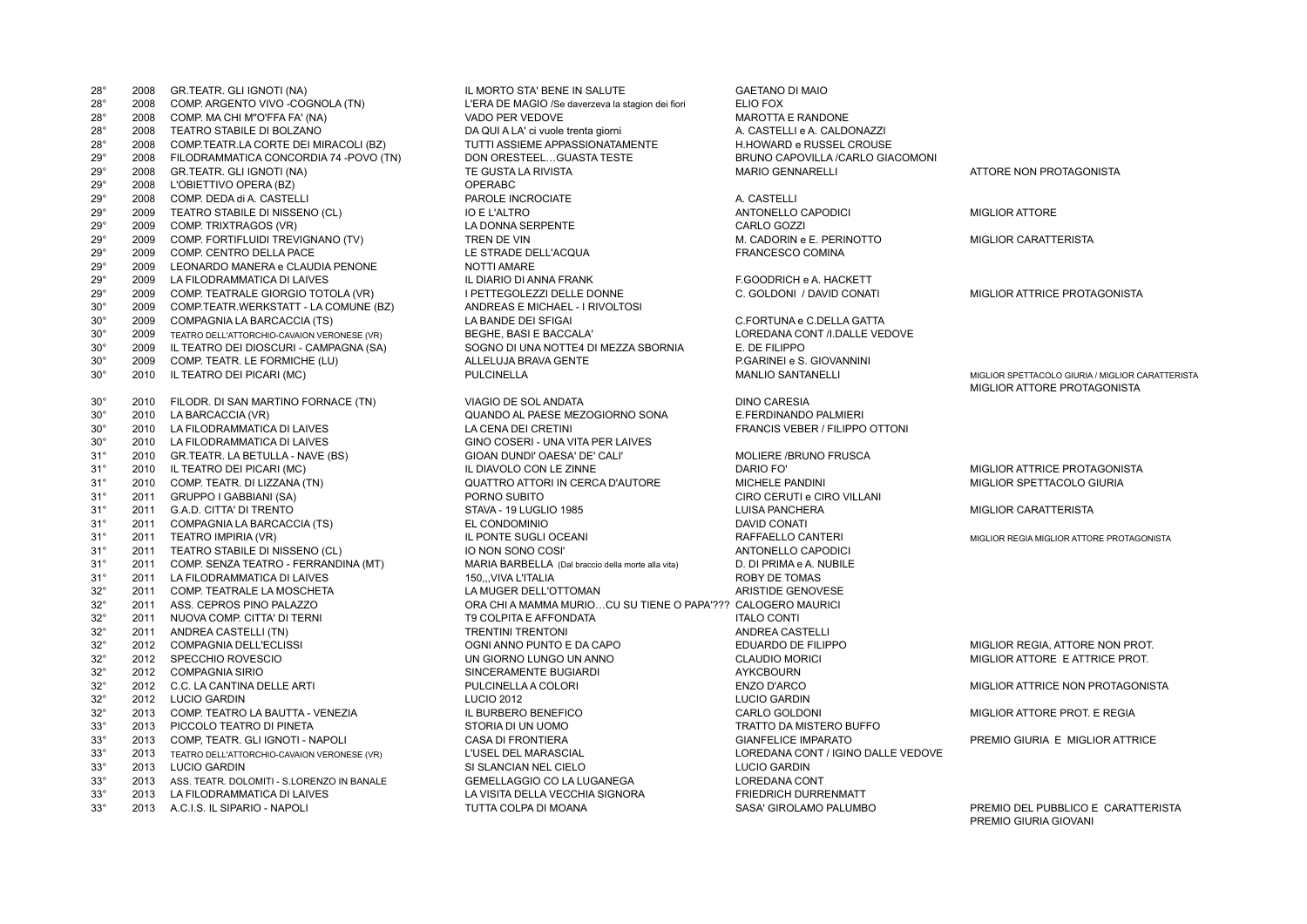| $28^\circ$   | 2008 | GR.TEATR. GLI IGNOTI (NA)                        | IL MORTO STA' BENE IN SALUTE                                 | <b>GAETANO DI MAIO</b>             |                         |
|--------------|------|--------------------------------------------------|--------------------------------------------------------------|------------------------------------|-------------------------|
| $28^\circ$   | 2008 | COMP. ARGENTO VIVO -COGNOLA (TN)                 | L'ERA DE MAGIO /Se daverzeva la stagion dei fiori            | ELIO FOX                           |                         |
| $28^\circ$   | 2008 | COMP. MA CHI M"O'FFA FA' (NA)                    | VADO PER VEDOVE                                              | <b>MAROTTA E RANDONE</b>           |                         |
| $28^\circ$   | 2008 | TEATRO STABILE DI BOLZANO                        | DA QUI A LA' ci vuole trenta giorni                          | A. CASTELLI e A. CALDONAZZI        |                         |
| $28^\circ$   | 2008 | COMP.TEATR.LA CORTE DEI MIRACOLI (BZ)            | TUTTI ASSIEME APPASSIONATAMENTE                              | H.HOWARD e RUSSEL CROUSE           |                         |
| $29^\circ$   | 2008 | FILODRAMMATICA CONCORDIA 74 - POVO (TN)          | DON ORESTEELGUASTA TESTE                                     | BRUNO CAPOVILLA /CARLO GIACOMONI   |                         |
| $29^\circ$   | 2008 | GR.TEATR. GLI IGNOTI (NA)                        | TE GUSTA LA RIVISTA                                          | <b>MARIO GENNARELLI</b>            | <b>ATTORE NON PRO</b>   |
| $29^\circ$   | 2008 | L'OBIETTIVO OPERA (BZ)                           | OPERABC                                                      |                                    |                         |
| $29^\circ$   | 2008 | COMP. DEDA di A. CASTELLI                        | PAROLE INCROCIATE                                            | A. CASTELLI                        |                         |
| $29^{\circ}$ | 2009 | TEATRO STABILE DI NISSENO (CL)                   | <b>IO E L'ALTRO</b>                                          | ANTONELLO CAPODICI                 | <b>MIGLIOR ATTORE</b>   |
| $29^\circ$   | 2009 | COMP. TRIXTRAGOS (VR)                            | LA DONNA SERPENTE                                            | CARLO GOZZI                        |                         |
| $29^\circ$   | 2009 | COMP. FORTIFLUIDI TREVIGNANO (TV)                | <b>TREN DE VIN</b>                                           | M. CADORIN e E. PERINOTTO          | <b>MIGLIOR CARATTE</b>  |
| $29^\circ$   | 2009 | COMP. CENTRO DELLA PACE                          | LE STRADE DELL'ACQUA                                         | FRANCESCO COMINA                   |                         |
| $29^\circ$   | 2009 | LEONARDO MANERA e CLAUDIA PENONE                 | <b>NOTTI AMARE</b>                                           |                                    |                         |
| $29^\circ$   | 2009 | LA FILODRAMMATICA DI LAIVES                      | IL DIARIO DI ANNA FRANK                                      | F.GOODRICH e A. HACKETT            |                         |
| $29^{\circ}$ | 2009 | COMP. TEATRALE GIORGIO TOTOLA (VR)               | I PETTEGOLEZZI DELLE DONNE                                   | C. GOLDONI / DAVID CONATI          | <b>MIGLIOR ATTRICE</b>  |
| $30^\circ$   | 2009 | COMP.TEATR.WERKSTATT - LA COMUNE (BZ)            | ANDREAS E MICHAEL - I RIVOLTOSI                              |                                    |                         |
| $30^{\circ}$ | 2009 | COMPAGNIA LA BARCACCIA (TS)                      | LA BANDE DEI SFIGAI                                          | C.FORTUNA e C.DELLA GATTA          |                         |
| $30^{\circ}$ | 2009 | TEATRO DELL'ATTORCHIO-CAVAION VERONESE (VR)      | BEGHE, BASI E BACCALA'                                       | LOREDANA CONT /I.DALLE VEDOVE      |                         |
| $30^\circ$   | 2009 | IL TEATRO DEI DIOSCURI - CAMPAGNA (SA)           | SOGNO DI UNA NOTTE4 DI MEZZA SBORNIA                         | E. DE FILIPPO                      |                         |
| $30^{\circ}$ | 2009 | COMP. TEATR. LE FORMICHE (LU)                    | ALLELUJA BRAVA GENTE                                         | P.GARINEI e S. GIOVANNINI          |                         |
| $30^{\circ}$ | 2010 | IL TEATRO DEI PICARI (MC)                        | <b>PULCINELLA</b>                                            | <b>MANLIO SANTANELLI</b>           | MIGLIOR SPETTACOLO      |
|              |      |                                                  |                                                              |                                    | <b>MIGLIOR ATTORE F</b> |
| $30^{\circ}$ | 2010 | FILODR. DI SAN MARTINO FORNACE (TN)              | VIAGIO DE SOL ANDATA                                         | <b>DINO CARESIA</b>                |                         |
| $30^{\circ}$ | 2010 | LA BARCACCIA (VR)                                | QUANDO AL PAESE MEZOGIORNO SONA                              | E.FERDINANDO PALMIERI              |                         |
| $30^{\circ}$ | 2010 | LA FILODRAMMATICA DI LAIVES                      | LA CENA DEI CRETINI                                          | FRANCIS VEBER / FILIPPO OTTONI     |                         |
| $30^{\circ}$ | 2010 | LA FILODRAMMATICA DI LAIVES                      | GINO COSERI - UNA VITA PER LAIVES                            |                                    |                         |
| $31^\circ$   | 2010 | GR.TEATR. LA BETULLA - NAVE (BS)                 | GIOAN DUNDI' OAESA' DE' CALI'                                | MOLIERE /BRUNO FRUSCA              |                         |
| $31^\circ$   | 2010 | IL TEATRO DEI PICARI (MC)                        | IL DIAVOLO CON LE ZINNE                                      | DARIO FO'                          | <b>MIGLIOR ATTRICE</b>  |
| $31^\circ$   | 2010 | COMP. TEATR. DI LIZZANA (TN)                     | QUATTRO ATTORI IN CERCA D'AUTORE                             | MICHELE PANDINI                    | <b>MIGLIOR SPETTAC</b>  |
| $31^\circ$   |      | 2011 GRUPPO I GABBIANI (SA)                      | PORNO SUBITO                                                 | CIRO CERUTI e CIRO VILLANI         |                         |
| $31^\circ$   | 2011 | G.A.D. CITTA' DI TRENTO                          | STAVA - 19 LUGLIO 1985                                       | LUISA PANCHERA                     | <b>MIGLIOR CARATTE</b>  |
| $31^\circ$   | 2011 | COMPAGNIA LA BARCACCIA (TS)                      | EL CONDOMINIO                                                | <b>DAVID CONATI</b>                |                         |
| $31^\circ$   | 2011 | TEATRO IMPIRIA (VR)                              | IL PONTE SUGLI OCEANI                                        | RAFFAELLO CANTERI                  | MIGLIOR REGIA MIGLIO    |
| $31^\circ$   | 2011 | TEATRO STABILE DI NISSENO (CL)                   | IO NON SONO COSI'                                            | ANTONELLO CAPODICI                 |                         |
| $31^\circ$   | 2011 | COMP. SENZA TEATRO - FERRANDINA (MT)             | MARIA BARBELLA (Dal braccio della morte alla vita)           | D. DI PRIMA e A. NUBILE            |                         |
| $31^\circ$   | 2011 | LA FILODRAMMATICA DI LAIVES                      | 150VIVA L'ITALIA                                             | ROBY DE TOMAS                      |                         |
| $32^{\circ}$ | 2011 | COMP. TEATRALE LA MOSCHETA                       | LA MUGER DELL'OTTOMAN                                        | <b>ARISTIDE GENOVESE</b>           |                         |
| $32^\circ$   | 2011 | ASS. CEPROS PINO PALAZZO                         | ORA CHI A MAMMA MURIOCU SU TIENE O PAPA'??? CALOGERO MAURICI |                                    |                         |
| $32^{\circ}$ | 2011 | NUOVA COMP. CITTA' DI TERNI                      | T9 COLPITA E AFFONDATA                                       | <b>ITALO CONTI</b>                 |                         |
| $32^{\circ}$ | 2011 | ANDREA CASTELLI (TN)                             | <b>TRENTINI TRENTONI</b>                                     | <b>ANDREA CASTELLI</b>             |                         |
| $32^{\circ}$ | 2012 |                                                  |                                                              | EDUARDO DE FILIPPO                 | MIGLIOR REGIA, AT       |
| $32^{\circ}$ |      | COMPAGNIA DELL'ECLISSI<br>2012 SPECCHIO ROVESCIO | OGNI ANNO PUNTO E DA CAPO                                    |                                    | <b>MIGLIOR ATTORE</b>   |
|              |      |                                                  | UN GIORNO LUNGO UN ANNO                                      | <b>CLAUDIO MORICI</b>              |                         |
| $32^\circ$   |      | 2012 COMPAGNIA SIRIO                             | SINCERAMENTE BUGIARDI                                        | <b>AYKCBOURN</b>                   |                         |
| $32^\circ$   |      | 2012 C.C. LA CANTINA DELLE ARTI                  | PULCINELLA A COLORI                                          | <b>ENZO D'ARCO</b>                 | <b>MIGLIOR ATTRICE</b>  |
| $32^{\circ}$ |      | 2012 LUCIO GARDIN                                | <b>LUCIO 2012</b>                                            | <b>LUCIO GARDIN</b>                |                         |
| $32^{\circ}$ |      | 2013 COMP. TEATRO LA BAUTTA - VENEZIA            | IL BURBERO BENEFICO                                          | CARLO GOLDONI                      | <b>MIGLIOR ATTORE F</b> |
| $33^\circ$   |      | 2013 PICCOLO TEATRO DI PINETA                    | STORIA DI UN UOMO                                            | TRATTO DA MISTERO BUFFO            |                         |
| $33^\circ$   | 2013 | COMP, TEATR. GLI IGNOTI - NAPOLI                 | <b>CASA DI FRONTIERA</b>                                     | <b>GIANFELICE IMPARATO</b>         | PREMIO GIURIA E         |
| $33^\circ$   | 2013 | TEATRO DELL'ATTORCHIO-CAVAION VERONESE (VR)      | L'USEL DEL MARASCIAL                                         | LOREDANA CONT / IGINO DALLE VEDOVE |                         |
| $33^\circ$   | 2013 | <b>LUCIO GARDIN</b>                              | SI SLANCIAN NEL CIELO                                        | <b>LUCIO GARDIN</b>                |                         |
| $33^\circ$   | 2013 | ASS. TEATR. DOLOMITI - S.LORENZO IN BANALE       | GEMELLAGGIO CO LA LUGANEGA                                   | <b>LOREDANA CONT</b>               |                         |
| $33^\circ$   | 2013 | LA FILODRAMMATICA DI LAIVES                      | LA VISITA DELLA VECCHIA SIGNORA                              | <b>FRIEDRICH DURRENMATT</b>        |                         |
|              |      |                                                  |                                                              |                                    |                         |

28° 2008 GR.TEATR. GLI IGNOTI (NA) IL MORTO STA' BENE IN SALUTE GAETANO DI MAIO L'ERA DE MAGIO /Se daverzeva la stagion dei fiori FLIO FOX 28° 2008 COMP. MA CHI M''O'FFA FA' (NA) VADO PER VEDOVE MAROTTA E RANDONE DA QUI A LA' ci vuole trenta giorni anno 2008 A. CASTELLI e A. CALDONAZZI 28° 2008 COMP.TEATR.LA CORTE DEI MIRACOLI (BZ) TUTTI ASSIEME APPASSIONATAMENTE H.HOWARD e RUSSEL CROUSE 29° 2008 FILODRAMMATICA CONCORDIA 74 -POVO (TN) DON ORESTEEL…GUASTA TESTE BRUNO CAPOVILLA /CARLO GIACOMONI 29° 2008 GR.TEATR. GLI IGNOTI (NA) TE GUSTA LA RIVISTA MARIO GENNARELLI ATTORE NON PROTAGONISTA PAROLE INCROCIATE **COMPONE A. CASTELLI** 29° 2009 COMP. TRIXTRAGOS (VR) LA DONNA SERPENTE CARLO GOZZI 29° 2009 COMP. FORTIFLUIDI TREVIGNANO (TV) TREN DE VIN M. CADORIN e E. PERINOTTO MIGLIOR CARATTERISTA 29° 2009 COMP. CENTRO DELLA PACE LE STRADE DELL'ACQUA FRANCESCO COMINA NOTTI AMARE 29° 2009 LA FILODRAMMATICA DI LAIVES IL DIARIO DI ANNA FRANK F.GOODRICH e A. HACKETT 29° 2009 COMP. TEATRALE GIORGIO TOTOLA (VR) I PETTEGOLEZZI DELLE DONNE C. GOLDONI / DAVID CONATI MIGLIOR ATTRICE PROTAGONISTA **ANDREAS E MICHAEL - I RIVOLTOSI** 30° 2009 COMPAGNIA LA BARCACCIA (TS) LA BANDE DEI SFIGAI C.FORTUNA e C.DELLA GATTA 30° 2008 TEATRO DEL ATTOR DELL'ATTORE (VERITALE VERONESE (VERITALE VEDOVE SOGNO DI UNA NOTTE4 DI MEZZA SBORNIA  $E$ . DE FILIPPO 30° 2009 COMP. TEATR. LE FORMICHE (LU) ALLELUJA BRAVA GENTE P.GARINEI e S. GIOVANNINI 30° 2010 VIAGIO DE SOL ANDATA DI SAN MARTINO FORNACIA DINO CARESIA 30° QUANDO AL PAESE MEZOGIORNO SONA E.FERDINANDO PALMIERI<br>LA CENA DEL CRETINI GINO COSERI - UNA VITA PER LAIVES 31° 2010 GR.TEATR. LA BETULLA - NAVE (BS) GIOAN DUNDI' OAESA' DE' CALI' MOLIERE /BRUNO FRUSCA 31° 2010 COMP. TEATR. DI LIZZANA (TN) QUATTRO ATTORI IN CERCA D'AUTORE MICHELE PANDINI MIGLIOR SPETTACOLO GIURIA 31° 2011 GRUPPO I GABBIANI (SA) PORNO SUBITO CIRO CERUTI e CIRO VILLANI 31° 2011 G.A.D. CITTA' DI TRENTO STAVA - 19 LUGLIO 1985 LUISA PANCHERA MIGLIOR CARATTERISTA 31° 2011 TEATRO IMPIRIA (VR) IL PONTE SUGLI OCEANI RAFFAELLO CANTERI MIGLIOR REGIA MIGLIOR ATTORE PROTAGONISTA 31° 2011 TEATRO STABILE DI NISSENO (CL) IO NON SONO COSI' ANTONELLO CAPODICI 31° 2011 COMP. SENZA TEATRO - FERRANDINA (MT) MARIA BARBELLA (Dal braccio della morte alla vita) D. DI PRIMA e A. NUBILE 31° 2011 LA FILODRAMMATICA DI LAIVES 150,,,VIVA L'ITALIA ROBY DE TOMAS 32° 2011 COMP. TEATRALE LA MOSCHETA LA MUGER DELL'OTTOMAN ARISTIDE GENOVESE ORA CHI A MAMMA MURIO...CU SU TIENE O PAPA'??? CALOGERO MAURICI 32° 2011 NUOVA COMP. CITTA' DI TERNI T9 COLPITA E AFFONDATA ITALO CONTI 32° 2011 ANDREA CASTELLI (TN) TRENTINI TRENTONI ANDREA CASTELLI 32° 2012 COMPAGNIA DELL'ECLISSI OGNI ANNO PUNTO E DA CAPO EDUARDO DE FILIPPO MIGLIOR REGIA, ATTORE NON PROT. 32° 2012 SPECCHIO ROVESCIO UN GIORNO LUNGO UN ANNO CLAUDIO MORICI MIGLIOR ATTORE E ATTRICE PROT. 32° 2012 COMPAGNIA SIRIO SINCERAMENTE BUGIARDI AYKCBOURN 32° 2012 C.C. LA CANTINA DELLE ARTI PULCINELLA A COLORI ENZO D'ARCO MIGLIOR ATTRICE NON PROTAGONISTA 32° 2013 COMP. TEATRO LA BAUTTA - VENEZIA IL BURBERO BENEFICO CARLO GOLDONI MIGLIOR ATTORE PROT. E REGIA 33° 2013 PICCOLO TEATRO DI PINETA STORIA DI UN UOMO TRATTO DA MISTERO BUFFO 33° 2013 COMP, TEATR. GLI IGNOTI - NAPOLI CASA DI FRONTIERA GIANFELICE IMPARATO PREMIO GIURIA E MIGLIOR ATTRICE 33° 2013 TEATRO DELL'ATTORCHIO-CAVAION VERONESE (VR) L'USEL DEL MARASCIAL LOREDANA CONT / IGINO DALLE VEDOVE 33° 2013 LUCIO GARDIN SI SLANCIAN NEL CIELO LUCIO GARDIN 33° 34′ 30° 30′ 2014 ASS. DOLOMITI - SERIE GEMELLAGGIO CO LA LUGANEGA LOREDANA CONT LA VISITA DELLA VECCHIA SIGNORA FRIEDRICH DURRENMATT 33° 2013 A.C.I.S. IL SIPARIO - NAPOLI TUTTA COLPA DI MOANA SASA' GIROLAMO PALUMBO PREMIO DEL PUBBLICO E CARATTERISTA

**FRANCIS VEBER / FILIPPO OTTONI** 

MIGLIOR SPETTACOLO GIURIA / MIGLIOR CARATTERISTA MIGLIOR ATTORE PROTAGONISTA

MIGLIOR ATTRICE PROTAGONISTA

PREMIO GIURIA GIOVANI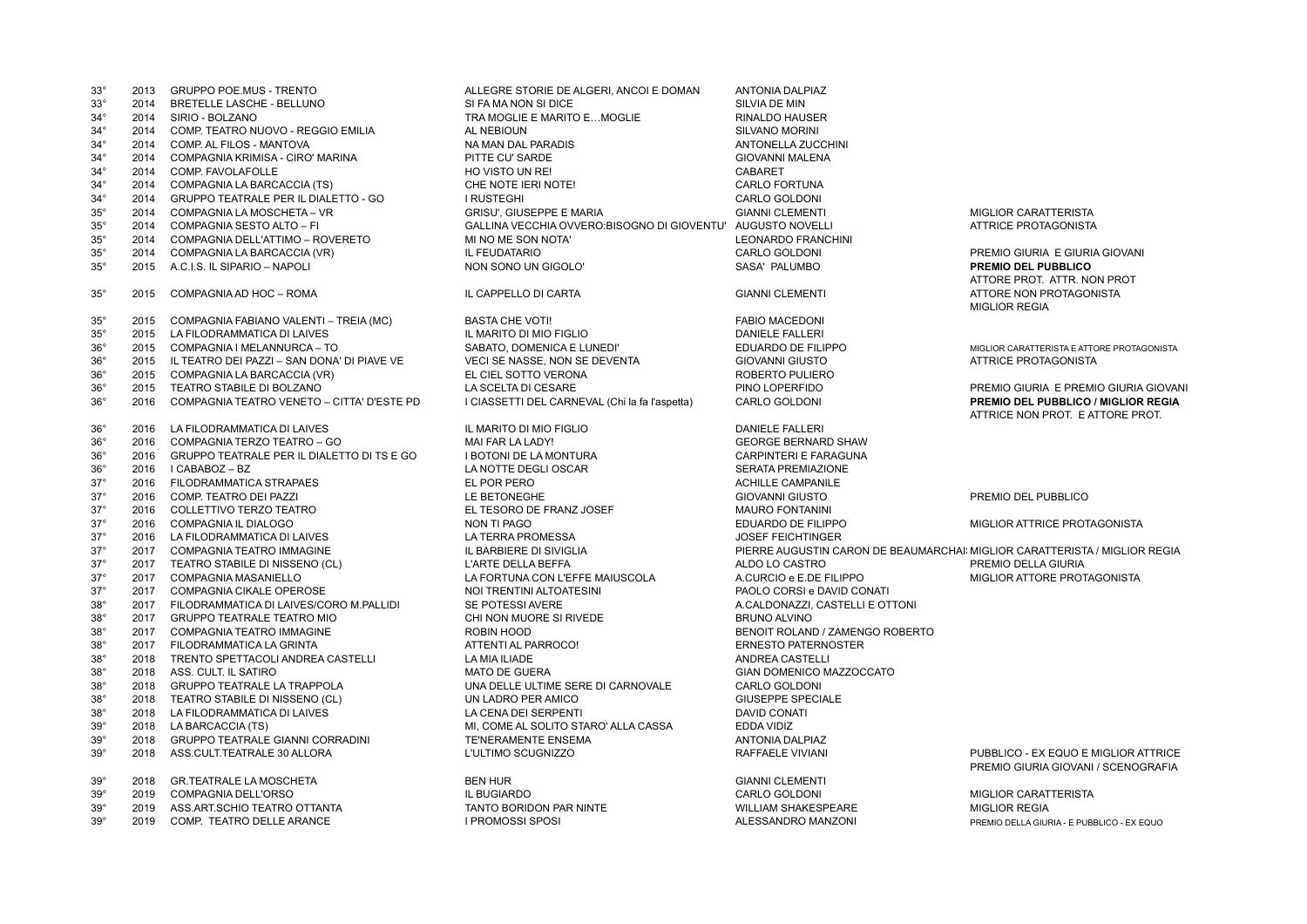| $33^\circ$      | 2013 | <b>GRUPPO POE MUS - TRENTO</b>               | ALLEGRE STORIE DE ALGERI, ANCOI E DOMAN        | ANTONIA DALPIAZ                                                            |                                                                             |
|-----------------|------|----------------------------------------------|------------------------------------------------|----------------------------------------------------------------------------|-----------------------------------------------------------------------------|
| $33^\circ$      | 2014 | BRETELLE LASCHE - BELLUNO                    | SI FA MA NON SI DICE                           | SILVIA DE MIN                                                              |                                                                             |
| $34^\circ$      | 2014 | SIRIO - BOLZANO                              | TRA MOGLIE E MARITO E MOGLIE                   | <b>RINALDO HAUSER</b>                                                      |                                                                             |
| $34^\circ$      | 2014 | COMP. TEATRO NUOVO - REGGIO EMILIA           | <b>AL NEBIOUN</b>                              | SILVANO MORINI                                                             |                                                                             |
| $34^\circ$      | 2014 | COMP. AL FILOS - MANTOVA                     | NA MAN DAL PARADIS                             | ANTONELLA ZUCCHINI                                                         |                                                                             |
| $34^\circ$      | 2014 | COMPAGNIA KRIMISA - CIRO' MARINA             | PITTE CU' SARDE                                | <b>GIOVANNI MALENA</b>                                                     |                                                                             |
| $34^\circ$      | 2014 | COMP. FAVOLAFOLLE                            | HO VISTO UN RE!                                | <b>CABARET</b>                                                             |                                                                             |
| $34^\circ$      | 2014 | COMPAGNIA LA BARCACCIA (TS)                  | CHE NOTE IERI NOTE!                            | <b>CARLO FORTUNA</b>                                                       |                                                                             |
| $34^\circ$      | 2014 | GRUPPO TEATRALE PER IL DIALETTO - GO         | <b>I RUSTEGHI</b>                              | CARLO GOLDONI                                                              |                                                                             |
| $35^\circ$      | 2014 | COMPAGNIA LA MOSCHETA - VR                   | <b>GRISU', GIUSEPPE E MARIA</b>                | <b>GIANNI CLEMENTI</b>                                                     | <b>MIGLIOR CARATTERISTA</b>                                                 |
| $35^\circ$      | 2014 | COMPAGNIA SESTO ALTO - FI                    | GALLINA VECCHIA OVVERO: BISOGNO DI GIOVENTU'   | <b>AUGUSTO NOVELLI</b>                                                     | <b>ATTRICE PROTAGONISTA</b>                                                 |
|                 | 2014 |                                              |                                                |                                                                            |                                                                             |
| $35^\circ$      |      | COMPAGNIA DELL'ATTIMO - ROVERETO             | MI NO ME SON NOTA'                             | LEONARDO FRANCHINI                                                         |                                                                             |
| $35^\circ$      | 2014 | COMPAGNIA LA BARCACCIA (VR)                  | IL FEUDATARIO                                  | CARLO GOLDONI                                                              | PREMIO GIURIA E GIURIA GIOVANI                                              |
| $35^\circ$      | 2015 | A.C.I.S. IL SIPARIO - NAPOLI                 | NON SONO UN GIGOLO'                            | SASA' PALUMBO                                                              | <b>PREMIO DEL PUBBLICO</b>                                                  |
|                 |      |                                              |                                                |                                                                            | ATTORE PROT. ATTR. NON PROT                                                 |
| $35^{\circ}$    | 2015 | COMPAGNIA AD HOC - ROMA                      | IL CAPPELLO DI CARTA                           | <b>GIANNI CLEMENTI</b>                                                     | ATTORE NON PROTAGONISTA                                                     |
|                 |      |                                              |                                                |                                                                            | <b>MIGLIOR REGIA</b>                                                        |
| $35^\circ$      | 2015 | COMPAGNIA FABIANO VALENTI - TREIA (MC)       | <b>BASTA CHE VOTI!</b>                         | <b>FABIO MACEDONI</b>                                                      |                                                                             |
| $35^\circ$      | 2015 | LA FILODRAMMATICA DI LAIVES                  | IL MARITO DI MIO FIGLIO                        | <b>DANIELE FALLERI</b>                                                     |                                                                             |
| $36^{\circ}$    |      | 2015 COMPAGNIA I MELANNURCA - TO             | SABATO, DOMENICA E LUNEDI'                     | EDUARDO DE FILIPPO                                                         | MIGLIOR CARATTERISTA E ATTORE PROTAGONISTA                                  |
| $36^{\circ}$    | 2015 | IL TEATRO DEI PAZZI - SAN DONA' DI PIAVE VE  | <b>VECI SE NASSE, NON SE DEVENTA</b>           | <b>GIOVANNI GIUSTO</b>                                                     | ATTRICE PROTAGONISTA                                                        |
| 36 <sup>°</sup> | 2015 | COMPAGNIA LA BARCACCIA (VR)                  | EL CIEL SOTTO VERONA                           | ROBERTO PULIERO                                                            |                                                                             |
| $36^{\circ}$    | 2015 | TEATRO STABILE DI BOLZANO                    | LA SCELTA DI CESARE                            | PINO LOPERFIDO                                                             | PREMIO GIURIA E PREMIO GIURIA GIOVANI                                       |
| $36^{\circ}$    | 2016 | COMPAGNIA TEATRO VENETO - CITTA' D'ESTE PD   | I CIASSETTI DEL CARNEVAL (Chi la fa l'aspetta) | <b>CARLO GOLDONI</b>                                                       | <b>PREMIO DEL PUBBLICO / MIGLIOR REGIA</b>                                  |
|                 |      |                                              |                                                |                                                                            | ATTRICE NON PROT. E ATTORE PROT.                                            |
| 36 <sup>°</sup> | 2016 | LA FILODRAMMATICA DI LAIVES                  | IL MARITO DI MIO FIGLIO                        | <b>DANIELE FALLERI</b>                                                     |                                                                             |
| $36^{\circ}$    | 2016 | COMPAGNIA TERZO TEATRO - GO                  | MAI FAR LA LADY!                               | <b>GEORGE BERNARD SHAW</b>                                                 |                                                                             |
| $36^{\circ}$    | 2016 | GRUPPO TEATRALE PER IL DIALETTO DI TS E GO   | I BOTONI DE LA MONTURA                         | <b>CARPINTERI E FARAGUNA</b>                                               |                                                                             |
| $36^\circ$      |      | 2016   CABABOZ - BZ                          | LA NOTTE DEGLI OSCAR                           | <b>SERATA PREMIAZIONE</b>                                                  |                                                                             |
| $37^\circ$      |      |                                              |                                                |                                                                            |                                                                             |
|                 | 2016 | <b>FILODRAMMATICA STRAPAES</b>               | EL POR PERO                                    | <b>ACHILLE CAMPANILE</b>                                                   |                                                                             |
| $37^\circ$      | 2016 | COMP. TEATRO DEI PAZZI                       | LE BETONEGHE                                   | <b>GIOVANNI GIUSTO</b>                                                     | PREMIO DEL PUBBLICO                                                         |
| $37^\circ$      | 2016 | COLLETTIVO TERZO TEATRO                      | EL TESORO DE FRANZ JOSEF                       | <b>MAURO FONTANINI</b>                                                     |                                                                             |
| $37^\circ$      | 2016 | COMPAGNIA IL DIALOGO                         | NON TI PAGO                                    | EDUARDO DE FILIPPO                                                         | MIGLIOR ATTRICE PROTAGONISTA                                                |
| $37^\circ$      |      | 2016 LA FILODRAMMATICA DI LAIVES             | LA TERRA PROMESSA                              | <b>JOSEF FEICHTINGER</b>                                                   |                                                                             |
| $37^\circ$      | 2017 | COMPAGNIA TEATRO IMMAGINE                    | IL BARBIERE DI SIVIGLIA                        | PIERRE AUGUSTIN CARON DE BEAUMARCHAI: MIGLIOR CARATTERISTA / MIGLIOR REGIA |                                                                             |
| $37^\circ$      | 2017 | TEATRO STABILE DI NISSENO (CL)               | L'ARTE DELLA BEFFA                             | ALDO LO CASTRO                                                             | PREMIO DELLA GIURIA                                                         |
| $37^\circ$      | 2017 | <b>COMPAGNIA MASANIELLO</b>                  | LA FORTUNA CON L'EFFE MAIUSCOLA                | A.CURCIO e E.DE FILIPPO                                                    | MIGLIOR ATTORE PROTAGONISTA                                                 |
| $37^\circ$      | 2017 | COMPAGNIA CIKALE OPEROSE                     | NOI TRENTINI ALTOATESINI                       | PAOLO CORSI e DAVID CONATI                                                 |                                                                             |
| $38^\circ$      |      | 2017 FILODRAMMATICA DI LAIVES/CORO M.PALLIDI | SE POTESSI AVERE                               | A.CALDONAZZI, CASTELLI E OTTONI                                            |                                                                             |
| $38^\circ$      | 2017 | <b>GRUPPO TEATRALE TEATRO MIO</b>            | CHI NON MUORE SI RIVEDE                        | <b>BRUNO ALVINO</b>                                                        |                                                                             |
| $38^\circ$      | 2017 | <b>COMPAGNIA TEATRO IMMAGINE</b>             | ROBIN HOOD                                     | BENOIT ROLAND / ZAMENGO ROBERTO                                            |                                                                             |
| $38^\circ$      | 2017 | FILODRAMMATICA LA GRINTA                     | ATTENTI AL PARROCO!                            | <b>ERNESTO PATERNOSTER</b>                                                 |                                                                             |
| $38^\circ$      | 2018 | TRENTO SPETTACOLI ANDREA CASTELLI            | LA MIA ILIADE                                  | ANDREA CASTELLI                                                            |                                                                             |
| $38^\circ$      | 2018 | ASS. CULT. IL SATIRO                         | <b>MATO DE GUERA</b>                           | GIAN DOMENICO MAZZOCCATO                                                   |                                                                             |
| $38^\circ$      | 2018 | <b>GRUPPO TEATRALE LA TRAPPOLA</b>           | UNA DELLE ULTIME SERE DI CARNOVALE             | CARLO GOLDONI                                                              |                                                                             |
| $38^\circ$      | 2018 | TEATRO STABILE DI NISSENO (CL)               | UN LADRO PER AMICO                             | <b>GIUSEPPE SPECIALE</b>                                                   |                                                                             |
| $38^\circ$      | 2018 | LA FILODRAMMATICA DI LAIVES                  | LA CENA DEI SERPENTI                           | DAVID CONATI                                                               |                                                                             |
| 39 <sup>°</sup> | 2018 | LA BARCACCIA (TS)                            | MI, COME AL SOLITO STARO' ALLA CASSA           | EDDA VIDIZ                                                                 |                                                                             |
| $39^\circ$      | 2018 | <b>GRUPPO TEATRALE GIANNI CORRADINI</b>      | TE'NERAMENTE ENSEMA                            | <b>ANTONIA DALPIAZ</b>                                                     |                                                                             |
|                 |      |                                              |                                                |                                                                            |                                                                             |
| $39^\circ$      | 2018 | ASS.CULT.TEATRALE 30 ALLORA                  | L'ULTIMO SCUGNIZZO                             | RAFFAELE VIVIANI                                                           | PUBBLICO - EX EQUO E MIGLIOR ATTRICE<br>PREMIO GIURIA GIOVANI / SCENOGRAFIA |
| 39 <sup>°</sup> | 2018 | <b>GR.TEATRALE LA MOSCHETA</b>               | <b>BEN HUR</b>                                 | <b>GIANNI CLEMENTI</b>                                                     |                                                                             |
| $39^\circ$      | 2019 | <b>COMPAGNIA DELL'ORSO</b>                   | IL BUGIARDO                                    | CARLO GOLDONI                                                              | <b>MIGLIOR CARATTERISTA</b>                                                 |
| $39^\circ$      | 2019 | ASS.ART.SCHIO TEATRO OTTANTA                 | <b>TANTO BORIDON PAR NINTE</b>                 | <b>WILLIAM SHAKESPEARE</b>                                                 | <b>MIGLIOR REGIA</b>                                                        |
| $39^\circ$      | 2019 | COMP. TEATRO DELLE ARANCE                    | <b>I PROMOSSI SPOSI</b>                        | ALESSANDRO MANZONI                                                         | PREMIO DELLA GIURIA - E PUBBLICO - EX EQUO                                  |
|                 |      |                                              |                                                |                                                                            |                                                                             |